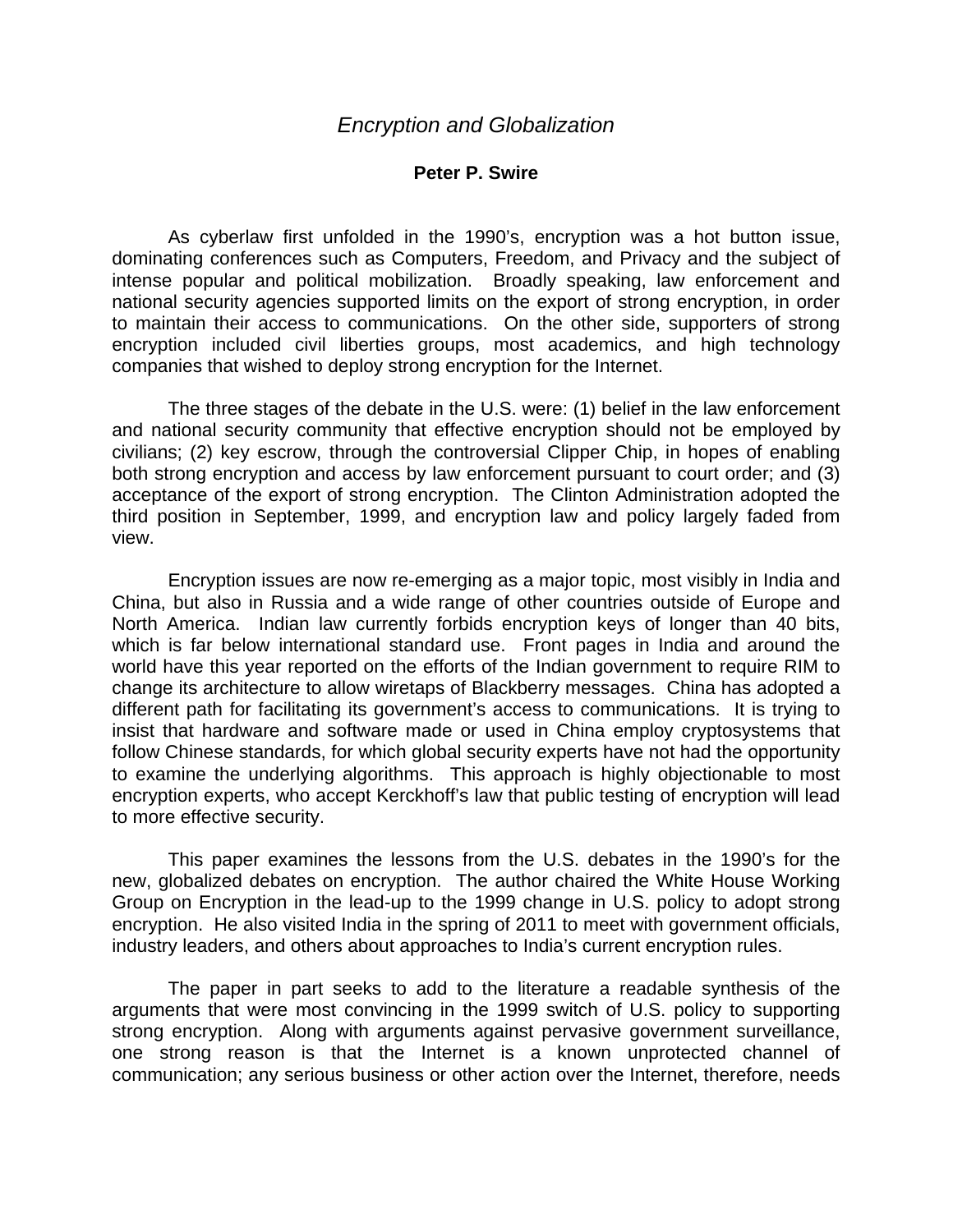## **Peter P. Swire**

 As cyberlaw first unfolded in the 1990's, encryption was a hot button issue, dominating conferences such as Computers, Freedom, and Privacy and the subject of intense popular and political mobilization. Broadly speaking, law enforcement and national security agencies supported limits on the export of strong encryption, in order to maintain their access to communications. On the other side, supporters of strong encryption included civil liberties groups, most academics, and high technology companies that wished to deploy strong encryption for the Internet.

 The three stages of the debate in the U.S. were: (1) belief in the law enforcement and national security community that effective encryption should not be employed by civilians; (2) key escrow, through the controversial Clipper Chip, in hopes of enabling both strong encryption and access by law enforcement pursuant to court order; and (3) acceptance of the export of strong encryption. The Clinton Administration adopted the third position in September, 1999, and encryption law and policy largely faded from view.

 Encryption issues are now re-emerging as a major topic, most visibly in India and China, but also in Russia and a wide range of other countries outside of Europe and North America. Indian law currently forbids encryption keys of longer than 40 bits, which is far below international standard use. Front pages in India and around the world have this year reported on the efforts of the Indian government to require RIM to change its architecture to allow wiretaps of Blackberry messages. China has adopted a different path for facilitating its government's access to communications. It is trying to insist that hardware and software made or used in China employ cryptosystems that follow Chinese standards, for which global security experts have not had the opportunity to examine the underlying algorithms. This approach is highly objectionable to most encryption experts, who accept Kerckhoff's law that public testing of encryption will lead to more effective security.

 This paper examines the lessons from the U.S. debates in the 1990's for the new, globalized debates on encryption. The author chaired the White House Working Group on Encryption in the lead-up to the 1999 change in U.S. policy to adopt strong encryption. He also visited India in the spring of 2011 to meet with government officials, industry leaders, and others about approaches to India's current encryption rules.

 The paper in part seeks to add to the literature a readable synthesis of the arguments that were most convincing in the 1999 switch of U.S. policy to supporting strong encryption. Along with arguments against pervasive government surveillance, one strong reason is that the Internet is a known unprotected channel of communication; any serious business or other action over the Internet, therefore, needs